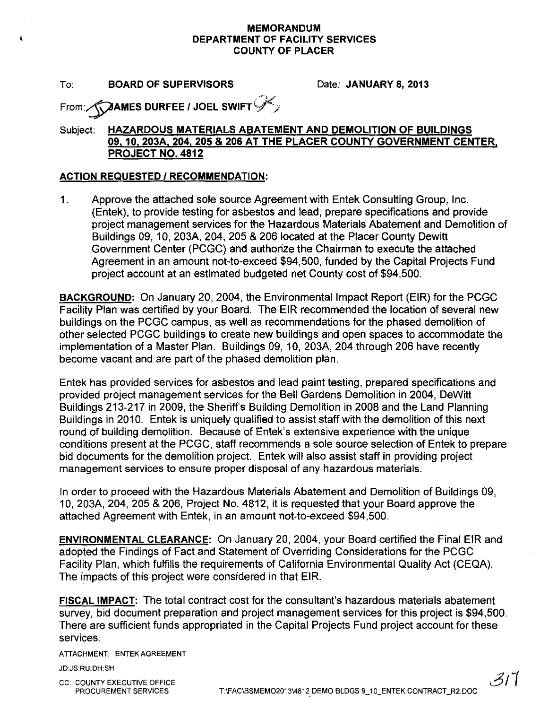## **MEMORANDUM DEPARTMENT OF FACILITY SERVICES COUNTY OF PLACER**

## To: **BOARD OF SUPERVISORS** Date: **JANUARY 8,2013**

,

From:(\$Y'AMES **DURFEE I JOEL SWIFT** 9~/

# Subject: **HAZARDOUS MATERIALS ABATEMENT AND DEMOLITION OF BUILDINGS 09.10. 203A. 204. 205 & 206 AT THE PLACER COUNTY GOVERNMENT CENTER. PROJECT NO. 4812**

## **ACTION REQUESTED I RECOMMENDATION:**

1. Approve the attached sole source Agreement with Entek Consulting Group, Inc. (Entek), to provide testing for asbestos and lead, prepare specifications and provide project management services for the Hazardous Materials Abatement and Demolition of Buildings 09, 10, 203A, 204, 205 & 206 located at the Placer County Dewitt Government Center (PCGC) and authorize the Chairman to execute the attached Agreement in an amount not-to-exceed \$94,500, funded by the Capital Projects Fund project account at an estimated budgeted net County cost of \$94,500.

**BACKGROUND:** On January 20, 2004, the Environmental Impact Report (EIR) for the PCGC Facility Plan was certified by your Board. The EIR recommended the location of several new buildings on the PCGC campus, as well as recommendations for the phased demolition of other selected PCGC buildings to create new buildings and open spaces to accommodate the implementation of a Master Plan. Buildings 09, 10, 203A, 204 through 206 have recently become vacant and are part of the phased demolition plan.

Entek has provided services for asbestos and lead paint testing, prepared specifications and provided project management services for the Bell Gardens Demolition in 2004, DeWitt Buildings 213-217 in 2009, the Sheriff's Building Demolition in 2008 and the Land Planning Buildings in 2010. Entek is uniquely qualified to assist staff with the demolition of this next round of building demolition. Because of Entek's extensive experience with the unique conditions present at the PCGC, staff recommends a sole source selection of Entek to prepare bid documents for the demolition project. Entek will also assist staff in providing project management services to ensure proper disposal of any hazardous materials.

In order to proceed with the Hazardous Materials Abatement and Demolition of Buildings 09, 10, 203A, 204, 205 & 206, Project No. 4812, it is requested that your Board approve the attached Agreement with Entek, in an amount not-to-exceed \$94,500.

**ENVIRONMENTAL CLEARANCE:** On January 20,2004, your Board certified the Final EIR and adopted the Findings of Fact and Statement of Overriding Considerations for the PCGC Facility Plan, which fulfills the requirements of California Environmental Quality Act (CEQA). The impacts of this project were considered in that EIR.

**FISCAL IMPACT:** The total contract cost for the consultant's hazardous materials abatement survey, bid document preparation and project management services for this project is \$94,500. There are sufficient funds appropriated in the Capital Projects Fund project account for these services.

ATTACHMENT: ENTEK AGREEMENT

JD:JS:RU:DH:SH

CC: COUNTY EXECUTIVE OFFICE

PROCUREMENT SERVICES T:\FAC\BSMEMO2013\4812 DEMO BLDGS 9\_10\_ENTEK CONTRACT\_R2.DOC

 $311$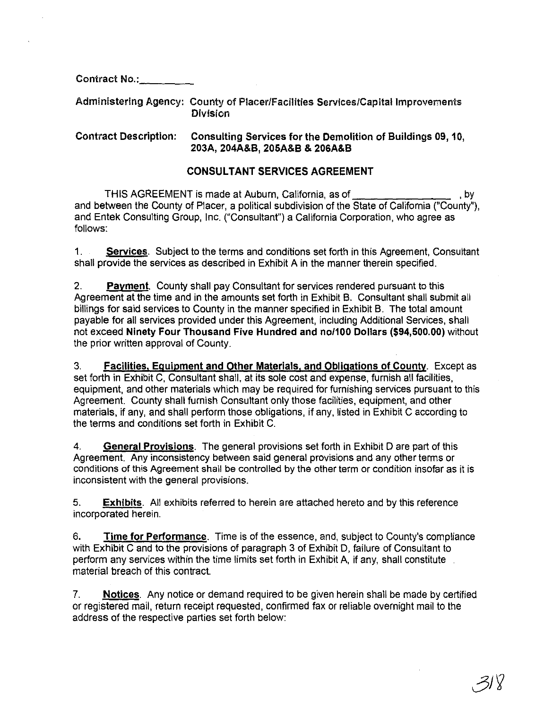Contract No.:

Administering Agency: County of PlacerlFacilities Services/Capital Improvements Division

Contract Description: Consulting Services for the Demolition of Buildings 09, 10, 203A, 204A&B, 205A&B & 206A&B

## CONSULTANT SERVICES AGREEMENT

THIS AGREEMENT is made at Auburn, California, as of **constant and the SCREEMENT** is made at Auburn, California, as of **constant and the SCREEMENT** and between the County of Placer, a political subdivision of the State of California ("County"), and Entek Consulting Group, Inc. ("Consultant") a California Corporation, who agree as follows:

1. **Services.** Subject to the terms and conditions set forth in this Agreement, Consultant shall provide the services as described in Exhibit A in the manner therein specified.

2. **Payment.** County shall pay Consultant for services rendered pursuant to this Agreement at the time and in the amounts set forth in Exhibit B. Consultant shall submit all billings for said services to County in the manner specified in Exhibit B. The total amount payable for all services provided under this Agreement, including Additional Services, shall not exceed Ninety Four Thousand Five Hundred and nol100 Dollars (\$94,500.00) without the prior written approval of County.

3. Facilities, Eguipment and Other Materials, and Obligations of County. Except as set forth in Exhibit C, Consultant shall, at its sole cost and expense, furnish all facilities, equipment, and other materials which may be required for furnishing services pursuant to this Agreement. County shall furnish Consultant only those facilities, equipment, and other materials, if any, and shall perform those obligations, if any, listed in Exhibit C according to the terms and conditions set forth in Exhibit C.

4. General Provisions. The general provisions set forth in Exhibit D are part of this Agreement. Any inconsistency between said general provisions and any other terms or conditions of this Agreement shall be controlled by the other term or condition insofar as it is inconsistent with the general provisions.

5. **Exhibits**. All exhibits referred to herein are attached hereto and by this reference incorporated herein.

6. Time for Performance. Time is of the essence, and, subject to County's compliance with Exhibit C and to the provisions of paragraph 3 of Exhibit D, failure of Consultant to perform any services within the time limits set forth in Exhibit A, if any, shall constitute material breach of this contract.

7. Notices. Any notice or demand required to be given herein shall be made by certified or registered mail, return receipt requested, confirmed fax or reliable overnight mail to the address of the respective parties set forth below: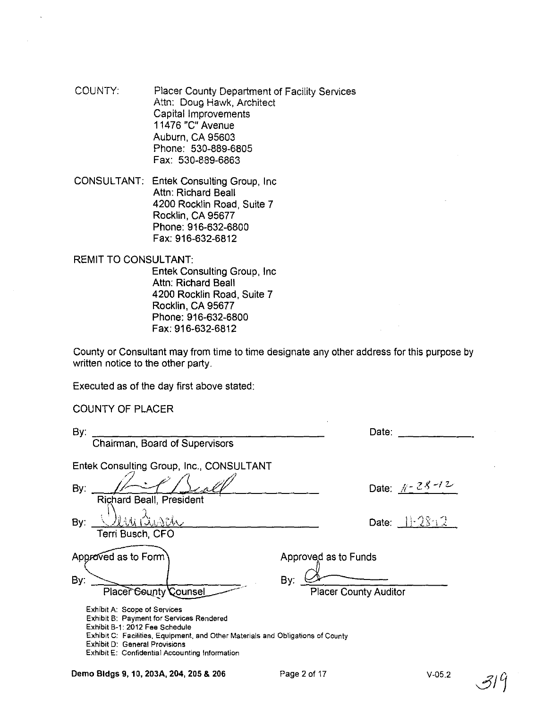COUNTY: Placer County Department of Facility Services Attn: Doug Hawk, Architect Capital Improvements 11476 "C" Avenue Auburn, CA 95603 Phone: 530-889-6805 Fax: 530-889-6863

CONSULTANT: Entek Consulting Group, Inc Attn: Richard Beall 4200 Rocklin Road, Suite 7 Rocklin, CA 95677 Phone: 916-632-6800 Fax: 916-632-6812

REMIT TO CONSULTANT:

Entek Consulting Group, Inc Attn: Richard Beall 4200 Rocklin Road, Suite 7 Rocklin, CA 95677 Phone: 916-632-6800 Fax: 916-632-6812

County or Consultant may from time to time designate any other address for this purpose by written notice to the other party.

Executed as of the day first above stated:

COUNTY OF PLACER

| By:<br>Chairman, Board of Supervisors                                                                                                                                                                                                                                                   | Date:                               |
|-----------------------------------------------------------------------------------------------------------------------------------------------------------------------------------------------------------------------------------------------------------------------------------------|-------------------------------------|
| Entek Consulting Group, Inc., CONSULTANT                                                                                                                                                                                                                                                |                                     |
| By:<br><b>Richard Beall, President</b>                                                                                                                                                                                                                                                  | Date: $k = 28 - 12$                 |
| V AAI<br>By:<br>Terri Busch, CFO                                                                                                                                                                                                                                                        | Date: $1.2812$                      |
| Approved as to Form                                                                                                                                                                                                                                                                     | Approved as to Funds                |
| By:<br><b>Placer County Counsel</b>                                                                                                                                                                                                                                                     | By:<br><b>Placer County Auditor</b> |
| Exhibit A: Scope of Services<br>Exhibit B: Payment for Services Rendered<br>Exhibit B-1: 2012 Fee Schedule<br>Exhibit C: Facilities, Equipment, and Other Materials and Obligations of County<br><b>Exhibit D: General Provisions</b><br>Exhibit E: Confidential Accounting Information |                                     |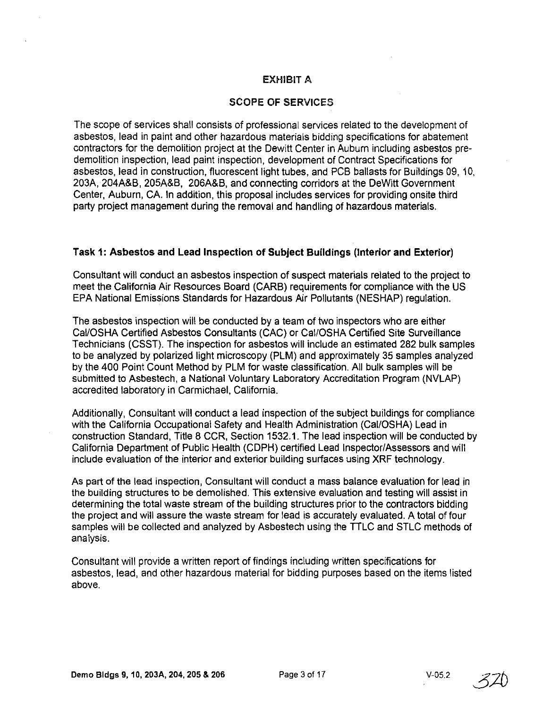## EXHIBIT A

## SCOPE **OF** SERVICES

The scope of services shall consists of professional services related to the development of asbestos, lead in paint and other hazardous materials bidding specifications for abatement contractors for the demolition project at the Dewitt Center in Auburn including asbestos predemolition inspection, lead paint inspection, development of Contract Specifications for asbestos, lead in construction, fluorescent light tubes, and PCB ballasts for Buildings 09, 10, 203A, 204A&B, 205A&B, 206A&B, and connecting corridors at the DeWitt Government Center, Auburn, CA. In addition, this proposal includes services for providing onsite third party project management during the removal and handling of hazardous materials.

### **Task 1: Asbestos and Lead Inspection of Subject Buildings (Interior and Exterior)**

Consultant will conduct an asbestos inspection of suspect materials related to the project to meet the California Air Resources Board (CARB) requirements for compliance with the US EPA National EmisSions Standards for Hazardous Air Pollutants (NESHAP) regulation.

The asbestos inspection will be conducted by a team of two inspectors who are either Cal/OSHA Certified Asbestos Consultants (CAC) or Cal/OSHA Certified Site Surveillance Technicians (CSST). The inspection for asbestos will include an estimated 282 bulk samples to be analyzed by polarized light microscopy (PLM) and approximately 35 samples analyzed by the 400 Point Count Method by PLM for waste classification. All bulk samples will be submitted to Asbestech, a National Voluntary Laboratory Accreditation Program (NVLAP) accredited laboratory in Carmichael, California.

Additionally, Consultant will conduct a lead inspection of the subject buildings for compliance with the California Occupational Safety and Health Administration (Cal/OSHA) Lead in construction Standard, Title 8 CCR, Section 1532.1. The lead inspection will be conducted by California Department of Public Health (CDPH) certified Lead Inspector/Assessors and will include evaluation of the interior and exterior building surfaces using XRF technology.

As part of the lead inspection, Consultant will conduct a mass balance evaluation for lead in the building structures to be demolished. This extensive evaluation and testing will assist in determining the total waste stream of the building structures prior to the contractors bidding the project and will assure the waste stream for lead is accurately evaluated. A total of four samples will be collected and analyzed by Asbestech using the TILC and STLC methods of analysis.

Consultant will provide a written report of findings including written specifications for asbestos, lead, and other hazardous material for bidding purposes based on the items listed above.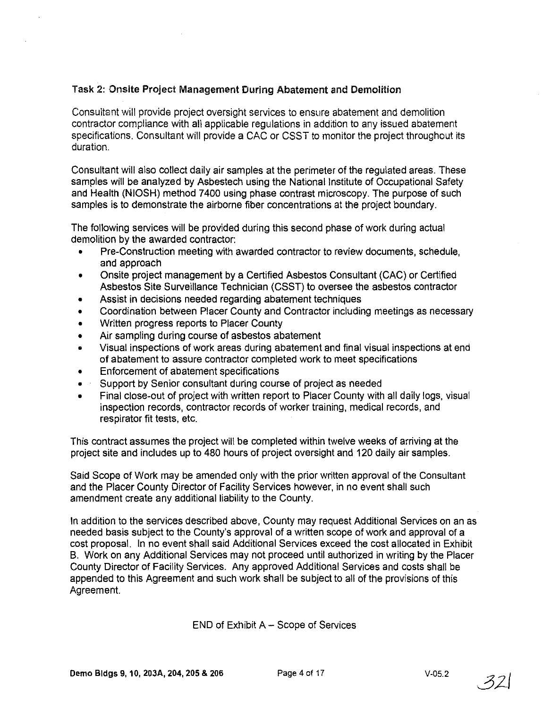# Task 2: Onsite Project Management During Abatement and Demolition

Consultant will provide project oversight services to ensure abatement and demolition contractor compliance with all applicable regulations in addition to any issued abatement specifications. Consultant will provide a CAC or CSST to monitor the project throughout its duration.

Consultant will also collect daily air samples at the perimeter of the regulated areas. These samples will be analyzed by Asbestech using the National Institute of Occupational Safety and Health (NIOSH) method 7400 using phase contrast microscopy. The purpose of such samples is to demonstrate the airborne fiber concentrations at the project boundary.

The following services will be provided during this second phase of work during actual demolition by the awarded contractor:

- Pre-Construction meeting with awarded contractor to review documents, schedule, and approach
- Onsite project management by a Certified Asbestos Consultant (CAC) or Certified Asbestos Site Surveillance Technician (CSST) to oversee the asbestos contractor
- Assist in decisions needed regarding abatement techniques
- Coordination between Placer County and Contractor including meetings as necessary
- Written progress reports to Placer County
- Air sampling during course of asbestos abatement
- Visual inspections of work areas during abatement and final visual inspections at end of abatement to assure contractor completed work to meet specifications
- Enforcement of abatement specifications
- Support by Senior consultant during course of project as needed
- Final close-out of project with written report to Placer County with all daily logs, visual inspection records, contractor records of worker training, medical records, and respirator fit tests, etc.

This contract assumes the project will be completed within twelve weeks of arriving at the project site and includes up to 480 hours of project oversight and 120 daily air samples.

Said Scope of Work may be amended only with the prior written approval of the Consultant and the Placer County Director of Facility Services however, in no event shall such amendment create any additional liability to the County.

In addition to the services described above, County may request Additional Services on an as needed basis subject to the County's approval of a written scope of work and approval of a cost proposal. In no event shall said Additional Services exceed the cost allocated in Exhibit B. Work on any Additional Services may not proceed until authorized in writing by the Placer County Director of Facility Services. Any approved Additional Services and costs shall be appended to this Agreement and such work shall be subject to all of the provisions of this Agreement.

 $END$  of Exhibit  $A - Score$  of Services

 $321$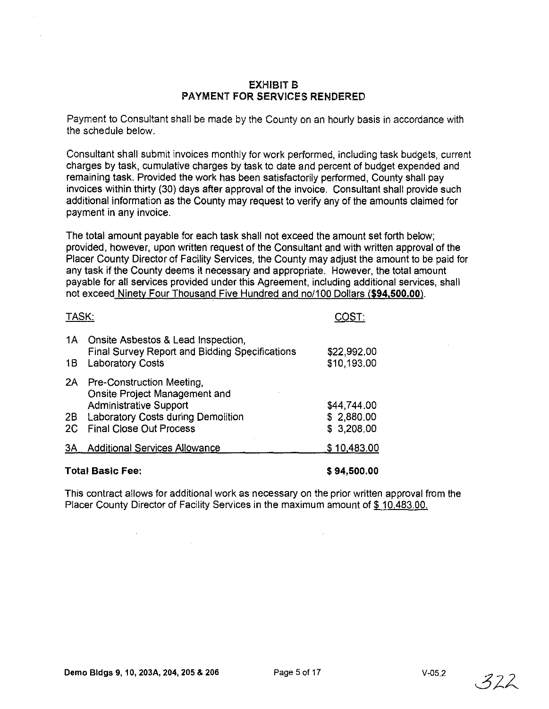### EXHIBIT B PAYMENT FOR SERVICES RENDERED

Payment to Consultant shall be made by the County on an hourly basis in accordance with the schedule below.

Consultant shall submit invoices monthly for work performed, including task budgets, current charges by task, cumulative charges by task to date and percent of budget expended and remaining task. Provided the work has been satisfactorily performed, County shall pay invoices within thirty (30) days after approval of the invoice. Consultant shall provide such additional information as the County may request to verify any of the amounts claimed for payment in any invoice.

The total amount payable for each task shall not exceed the amount set forth below; provided, however, upon written request of the Consultant and with written approval of the Placer County Director of Facility Services, the County may adjust the amount to be paid for any task if the County deems it necessary and appropriate. However, the total amount payable for all services provided under this Agreement, including additional services, shall not exceed Ninety Four Thousand Five Hundred and no/100 Dollars (\$94,500.00).

|       | <b>Total Basic Fee:</b>                                                                                     | \$94,500.00                |
|-------|-------------------------------------------------------------------------------------------------------------|----------------------------|
| 3A    | Additional Services Allowance                                                                               | \$10,483.00                |
| 2C    | <b>Final Close Out Process</b>                                                                              | \$3,208.00                 |
| 2B    | Onsite Project Management and<br><b>Administrative Support</b><br><b>Laboratory Costs during Demolition</b> | \$44,744.00<br>\$2,880.00  |
|       | 2A Pre-Construction Meeting,                                                                                |                            |
| 18    | <b>Final Survey Report and Bidding Specifications</b><br><b>Laboratory Costs</b>                            | \$22,992.00<br>\$10,193.00 |
| 1A    | Onsite Asbestos & Lead Inspection,                                                                          |                            |
| TASK: |                                                                                                             | ∩AST∙                      |

This contract allows for additional work as necessary on the prior written approval from the Placer County Director of Facility Services in the maximum amount of \$10,483.00.

 $\alpha$ 

TASK:

 $322$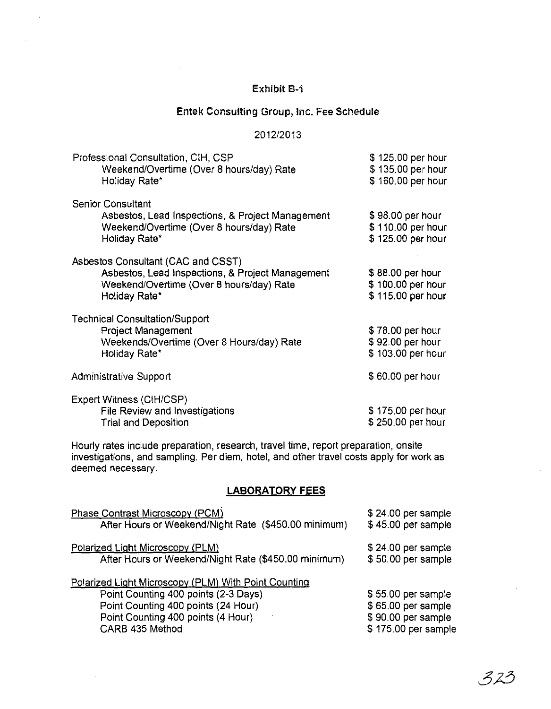# Exhibit B-1

 $\overline{\phantom{a}}$ 

# Entek Consulting Group, Inc. Fee Schedule

### 2012/2013

| Professional Consultation, CIH, CSP<br>Weekend/Overtime (Over 8 hours/day) Rate<br>Holiday Rate*                                                    | \$125.00 per hour<br>\$135.00 per hour<br>\$160.00 per hour |
|-----------------------------------------------------------------------------------------------------------------------------------------------------|-------------------------------------------------------------|
| <b>Senior Consultant</b><br>Asbestos, Lead Inspections, & Project Management<br>Weekend/Overtime (Over 8 hours/day) Rate<br>Holiday Rate*           | \$98.00 per hour<br>\$110.00 per hour<br>\$125.00 per hour  |
| Asbestos Consultant (CAC and CSST)<br>Asbestos, Lead Inspections, & Project Management<br>Weekend/Overtime (Over 8 hours/day) Rate<br>Holiday Rate* | \$88.00 per hour<br>\$100.00 per hour<br>\$115.00 per hour  |
| <b>Technical Consultation/Support</b><br><b>Project Management</b><br>Weekends/Overtime (Over 8 Hours/day) Rate<br>Holiday Rate*                    | \$78.00 per hour<br>\$92.00 per hour<br>\$103.00 per hour   |
| Administrative Support                                                                                                                              | \$60.00 per hour                                            |
| Expert Witness (CIH/CSP)<br>File Review and Investigations<br><b>Trial and Deposition</b>                                                           | \$175.00 per hour<br>\$250.00 per hour                      |

Hourly rates include preparation, research, travel time, report preparation, on site investigations, and sampling. Per diem, hotel, and other travel costs apply for work as deemed necessary.

## **LABORATORY FEES**

| Phase Contrast Microscopy (PCM)                      | \$24.00 per sample  |
|------------------------------------------------------|---------------------|
| After Hours or Weekend/Night Rate (\$450.00 minimum) | \$45.00 per sample  |
| Polarized Light Microscopy (PLM)                     | \$24.00 per sample  |
| After Hours or Weekend/Night Rate (\$450.00 minimum) | \$50.00 per sample  |
| Polarized Light Microscopy (PLM) With Point Counting |                     |
| Point Counting 400 points (2-3 Days)                 | \$55.00 per sample  |
| Point Counting 400 points (24 Hour)                  | \$65.00 per sample  |
| Point Counting 400 points (4 Hour)                   | \$90.00 per sample  |
| CARB 435 Method                                      | \$175.00 per sample |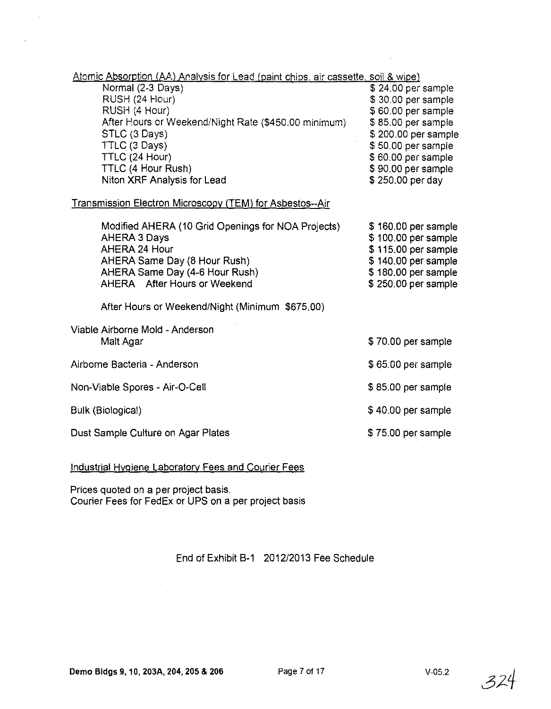| Atomic Absorption (AA) Analysis for Lead (paint chips, air cassette, soil & wipe) |                     |
|-----------------------------------------------------------------------------------|---------------------|
| Normal (2-3 Days)                                                                 | \$24.00 per sample  |
| RUSH (24 Hour)                                                                    | \$30.00 per sample  |
| RUSH (4 Hour)                                                                     | \$60.00 per sample  |
| After Hours or Weekend/Night Rate (\$450.00 minimum)                              | \$85.00 per sample  |
| STLC (3 Days)                                                                     | \$200.00 per sample |
| TTLC (3 Days)                                                                     | \$50.00 per sample  |
| TTLC (24 Hour)                                                                    | \$60.00 per sample  |
| TTLC (4 Hour Rush)                                                                | \$90.00 per sample  |
| Niton XRF Analysis for Lead                                                       | \$250.00 per day    |

## Transmission Electron Microscopy (TEM) for Asbestos--Air

| Modified AHERA (10 Grid Openings for NOA Projects)<br>AHERA 3 Days | \$160.00 per sample<br>\$100.00 per sample |
|--------------------------------------------------------------------|--------------------------------------------|
| AHERA 24 Hour                                                      | \$115.00 per sample                        |
| AHERA Same Day (8 Hour Rush)                                       | \$140.00 per sample                        |
| AHERA Same Day (4-6 Hour Rush)                                     | \$180.00 per sample                        |
| AHERA After Hours or Weekend                                       | \$250.00 per sample                        |

After Hours or Weekend/Night (Minimum \$675.00)

| Viable Airborne Mold - Anderson |  |
|---------------------------------|--|
| Malt Agar                       |  |
|                                 |  |

- Airborne Bacteria Anderson
- Non-Viable Spores Air-O-Cell

### Bulk (Biological)

Dust Sample Culture on Agar Plates

#### Industrial Hygiene Laboratory Fees and Courier Fees

Prices quoted on a per project basis. Courier Fees for FedEx or UPS on a per project basis

## End of Exhibit B-1 2012/2013 Fee Schedule

\$70.00 per sample

\$ 65.00 per sarnple

\$ 85.00 per sample

\$ 40.00 per sample

\$ 75.00 per sample

324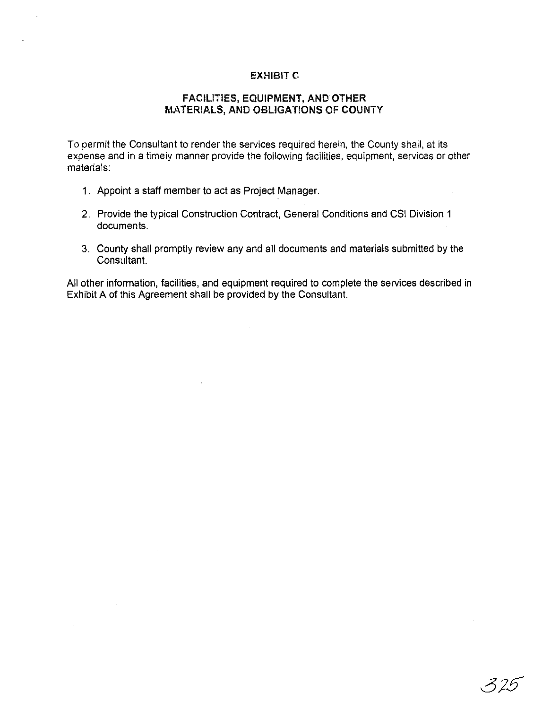### **EXHIBIT C**

## FACILITIES, EQUIPMENT, AND **OTHER**  MATERIALS, AND OBLIGATIONS OF COUNTY

To permit the Consultant to render the services required herein, the County shall, at its expense and in a timely manner provide the following facilities, equipment, services or other materials:

- 1. Appoint a staff member to act as Project Manager.
- 2. Provide the typical Construction Contract, General Conditions and CSI Division 1 documents.
- 3. County shall promptly review any and all documents and materials submitted by the Consultant.

All other information, facilities, and equipment required to complete the services described in Exhibit A of this Agreement shall be provided by the Consultant.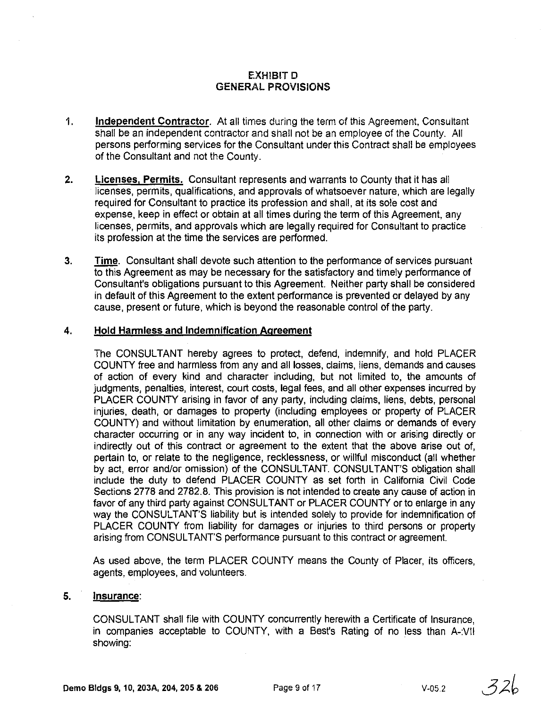## EXH1BITD GENERAL PROVISIONS

- 1. **Independent Contractor.** At all times during the term of this Agreement, Consultant shall be an independent contractor and shall not be an employee of the County. All persons performing services for the Consultant under this Contract shall be employees of the Consultant and not the County.
- 2. Licenses, Permits. Consultant represents and warrants to County that it has all licenses, permits, qualifications, and approvals of whatsoever nature, which are legally required for Consultant to practice its profession and shall, at its sole cost and expense, keep in effect or obtain at all times during the term of this Agreement, any licenses, permits, and approvals which are legally required for Consultant to practice its profession at the time the services are performed.
- 3. Time. Consultant shall devote such attention to the performance of services pursuant to this Agreement as may be necessary for the satisfactory and timely performance of Consultant's obligations pursuant to this Agreement. Neither party shall be considered in default of this Agreement to the extent performance is prevented or delayed by any cause, present or future, which is beyond the reasonable control of the party.

### 4. Hold Harmless and Indemnification Agreement

The CONSULTANT hereby agrees to protect, defend, indemnify, and hold PLACER COUNTY free and harmless from any and all losses, claims, liens, demands and causes of action of every kind and character including, but not limited to, the amounts of judgments, penalties, interest, court costs, legal fees, and all other expenses incurred by PLACER COUNTY arising in favor of any party, including claims, liens, debts, personal injuries, death, or damages to property (including employees or property of PLACER COUNTY) and without limitation by enumeration, all other claims or demands of every character occurring or in any way incident to, in connection with or arising directly or indirectly out of this contract or agreement to the extent that the above arise out of, pertain to, or relate to the negligence, recklessness, or willful misconduct (all whether by act, error and/or omission) of the CONSULTANT. CONSULTANT'S obligation shall include the duty to defend PLACER COUNTY as set forth in California Civil Code Sections 2778 and 2782.8. This provision is not intended to create any cause of action in favor of any third party against CONSULTANT or PLACER COUNTY or to enlarge in any way the CONSULTANT'S liability but is intended solely to provide for indemnification of PLACER COUNTY from liability for damages or injuries to third persons or property arising from CONSULTANT'S performance pursuant to this contract or agreement.

As used above, the term PLACER COUNTY means the County of Placer, its officers, agents, employees, and volunteers.

### 5. Insurance:

CONSULTANT shall file with COUNTY concurrently herewith a Certificate of Insurance, in companies acceptable to COUNTY, with a Best's Rating of no less than A-:VII showing:

 $326$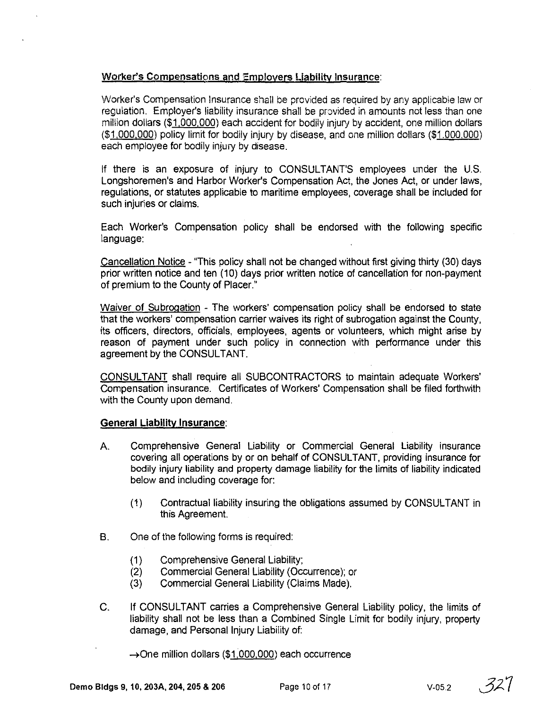### Worker's Compensations and Employers Liability Insurance:

Worker's Compensation Insurance shall be provided as required by any applicable law or regulation. Employer's liability insurance shall be provided in amounts not less than one million dollars (\$1,000,000) each accident for bodily injury by accident, one million dollars (\$1,000,000) policy limit for bodily injury by disease, and one million dollars (\$1.000.000) each employee for bodily injury by disease,

If there is an exposure of injury to CONSULTANT'S employees under the U.S. Longshoremen's and Harbor Worker's Compensation Act, the Jones Act, or under laws, regulations, or statutes applicable to maritime employees, coverage shall be included for such injuries or claims.

Each Worker's Compensation policy shall be endorsed with the following specific language:

Cancellation Notice - "This policy shall not be changed without first giving thirty (30) days prior written notice and ten (10) days prior written notice of cancellation for non-payment of premium to the County of Placer."

Waiver of Subrogation - The workers' compensation policy shall be endorsed to state that the workers' compensation carrier waives its right of subrogation against the County, its Officers, directors, officials, employees, agents or volunteers, which might arise by reason of payment under such policy in connection with performance under this agreement by the CONSULTANT.

CONSULTANT shall require all SUBCONTRACTORS to maintain adequate Workers' Compensation insurance. Certificates of Workers' Compensation shall be filed forthwith with the County upon demand.

### **General Liability Insurance:**

- A. Comprehensive General Liability or Commercial General Liability insurance covering all operations by or on behalf of CONSULTANT, providing insurance for bodily injury liability and property damage liability for the limits of liability indicated below and including coverage for:
	- (1) Contractual liability insuring the obligations assumed by CONSULTANT in this Agreement.
- B. One of the following forms is required:
	- (1) Comprehensive General Liability;
	- (2) Commercial General Liability (Occurrence); or
	- (3) Commercial General Liability (Claims Made).
- C. If CONSULTANT carries a Comprehensive General Liability policy, the limits of liability shall not be less than a Combined Single Limit for bodily injury, property damage, and Personal Injury Liability of:
	- $\rightarrow$ One million dollars (\$1,000,000) each occurrence

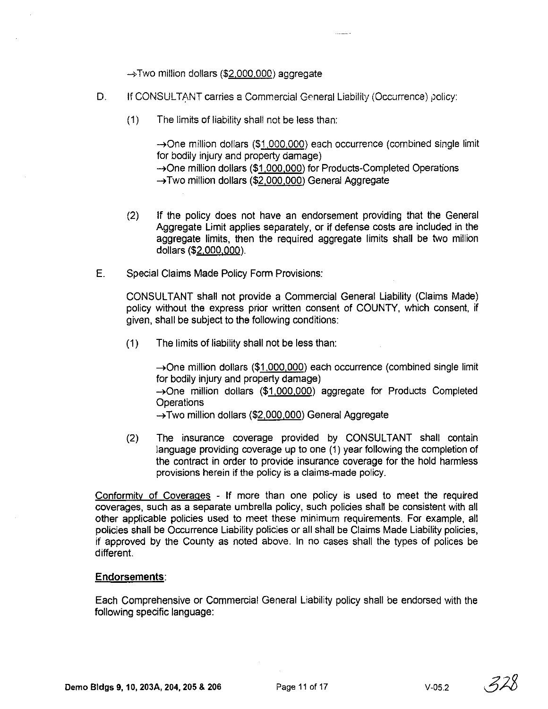$\rightarrow$  Two million dollars (\$2,000,000) aggregate

- D, If CONSULTANT carries a Commercial General Liability (Occurrence) policy:
	- (1) The limits of liability shall not be less than:

 $\rightarrow$ One million dollars (\$1,000,000) each occurrence (combined single limit for bodily injury and property damage)  $\rightarrow$ One million dollars (\$1,000,000) for Products-Completed Operations ~Two million dollars (\$2,000,000) General Aggregate

 $1 - 2$  and  $-7$ 

- (2) If the policy does not have an endorsement providing that the General Aggregate Limit applies separately, or if defense costs are included in the aggregate limits, then the required aggregate limits shall be two million dollars (\$2,000,000),
- E. Special Claims Made Policy Form Provisions:

CONSULTANT shall not provide a Commercial General Liability (Claims Made) policy without the express prior written consent of COUNTY, which consent, if given, shall be subject to the following conditions:

(1) The limits of liability shall not be less than:

 $\rightarrow$ One million dollars (\$1,000,000) each occurrence (combined single limit for bodily injury and property damage) ~One million dollars (\$1,000,000) aggregate for Products Completed **Operations** ~Two million dollars (\$2,000,000) General Aggregate

(2) The insurance coverage provided by CONSULTANT shall contain language providing coverage up to one (1) year following the completion of the contract in order to provide insurance coverage for the hold harmless provisions herein if the policy is a claims-made policy,

Conformity of Coverages - If more than one policy is used to meet the required coverages, such as a separate umbrella policy, such policies shall be consistent with all other applicable pOlicies used to meet these minimum requirements, For example, all policies shall be Occurrence Liability policies or all shall be Claims Made Liability policies, if approved by the County as noted above, In no cases shall the types of polices be different.

#### Endorsements:

Each Comprehensive or Commercial General Liability policy shall be endorsed with the following specific language: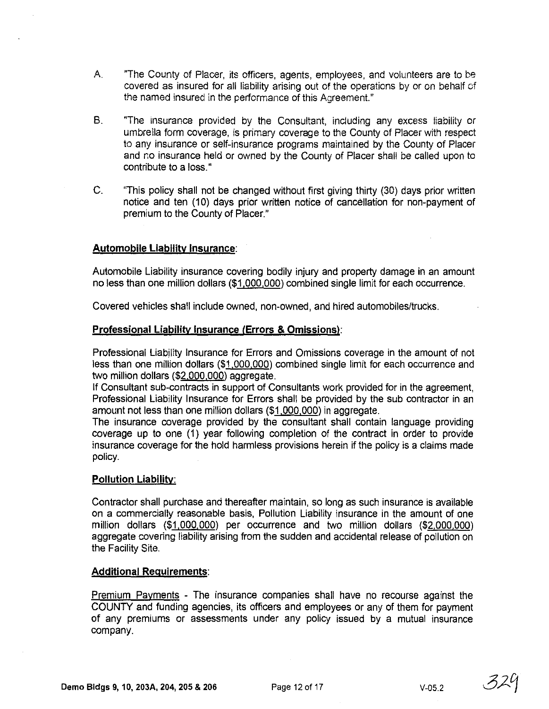- A. "The County of Placer, its officers, agents, employees, and volunteers are to be covered as insured for all liability arising out of the operations by or on behalf of the named insured in the performance of this Agreement."
- B. "The insurance provided by the Consultant, including any excess liability or umbrella form coverage, is primary coverage to the County of Placer with respect to any insurance or self-insurance programs maintained by the County of Placer and no insurance held or owned by the County of Placer shall be called upon to contribute to a loss."
- C. "This policy shall not be changed without first giving thirty (30) days prior written notice and ten (10) days prior written notice of cancellation for non-payment of premium to the County of Placer."

#### **Automobile Liability Insurance:**

Automobile Liability insurance covering bodily injury and property damage in an amount no less than one million dollars (\$1,000,000) combined single limit for each occurrence.

Covered vehicles shall include owned, non-owned, and hired automobiles/trucks.

#### **Professional Liability Insurance (Errors & Omissions):**

Professional Liability Insurance for Errors and Omissions coverage in the amount of not less than one million dollars (\$1,000,000) combined single limit for each occurrence and two million dollars (\$2,000,000) aggregate.

If Consultant sub-contracts in support of Consultants work provided for in the agreement, Professional Liability Insurance for Errors shall be provided by the sub contractor in an amount not less than one million dollars (\$1,000,000) in aggregate.

The insurance coverage provided by the consultant shall contain language providing coverage up to one (1) year following completion of the contract in order to provide insurance coverage for the hold harmless provisions herein if the policy is a claims made policy.

#### **Pollution Liability:**

Contractor shall purchase and thereafter maintain, so long as such insurance is available on a commercially reasonable basis, Pollution Liability insurance in the amount of one million dollars (\$1,000,000) per occurrence and two million dollars (\$2,000,000) aggregate covering liability arising from the sudden and accidental release of pollution on the Facility Site.

#### **Additional Requirements:**

Premium Payments - The insurance companies shall have no recourse against the COUNTY and funding agencies, its officers and employees or any of them for payment of any premiums or assessments under any policy issued by a mutual insurance company,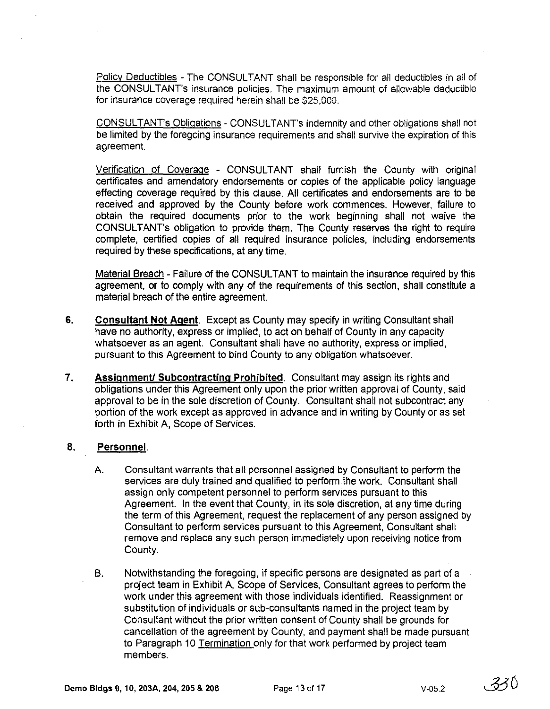Policy Deductibles - The CONSULTANT shall be responsible for all deductibles in all of the CONSULTANT's insurance policies. The maximum amount of allowable deductible for insurance coverage required herein shall be \$25,000.

CONSULTANT's Obligations - CONSULTANT's indemnity and other obligations shall not be limited by the foregoing insurance requirements and shall survive the expiration of this agreement.

Verification of Coverage - CONSULTANT shall furnish the County with original certificates and amendatory endorsements or copies of the applicable policy language effecting coverage required by this clause. All certificates and endorsements are to be received and approved by the County before work commences. However, failure to obtain the required documents prior to the work beginning shall not waive the CONSULTANT's obligation to provide them. The County reserves the right to require complete, certified copies of all required insurance policies, including endorsements required by these specifications, at any time.

Material Breach - Failure of the CONSULTANT to maintain the insurance required by this agreement, or to comply with any of the requirements of this section, shall constitute a material breach of the entire agreement.

- 6. Consultant Not Agent. Except as County may specify in writing Consultant shall have no authority, express or implied, to act on behalf of County in any capacity whatsoever as an agent. Consultant shall have no authority, express or implied, pursuant to this Agreement to bind County to any obligation whatsoever.
- 7. Assignment/ Subcontracting Prohibited. Consultant may assign its rights and obligations under this Agreement only upon the prior written approval of County, said approval to be in the sole discretion of County. Consultant shall not subcontract any portion of the work except as approved in advance and in writing by County or as set forth in Exhibit A, Scope of Services.

### 8. Personnel.

- A. Consultant warrants that all personnel assigned by Consultant to perform the services are duly trained and qualified to perform the work. Consultant shall assign only competent personnel to perform services pursuant to this Agreement. In the event that County, in its sole discretion, at any time during the term of this Agreement, request the replacement of any person assigned by Consultant to perform services pursuant to this Agreement, Consultant shall remove and replace any such person immediately upon receiving notice from County.
- B. Notwithstanding the foregoing, if specific persons are designated as part of a project team in Exhibit A, Scope of Services, Consultant agrees to perform the work under this agreement with those individuals identified. Reassignment or substitution of individuals or sub-consultants named in the project team by Consultant without the prior written consent of County shall be grounds for cancellation of the agreement by County, and payment shall be made pursuant to Paragraph 10 Termination only for that work performed by project team members.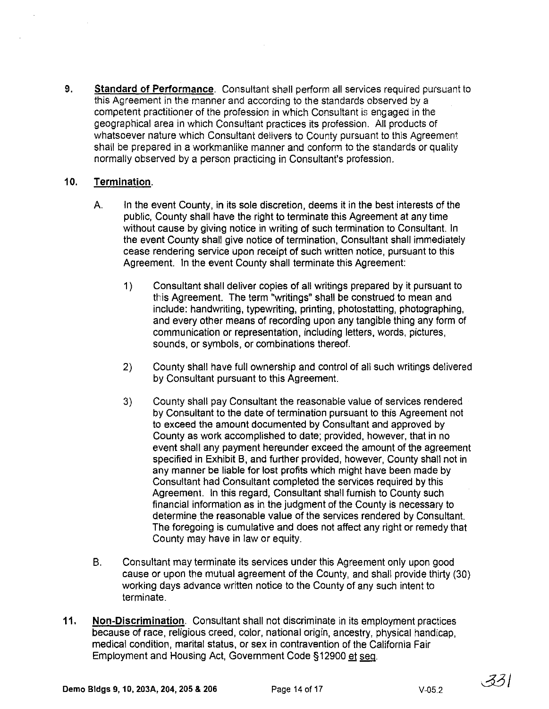9. Standard of Performance. Consultant shall perform all services required pursuant to this Agreement in the manner and according to the standards observed by a competent practitioner of the profession in which Consultant is engaged in the geographical area in which Consultant practices its profession. All products of whatsoever nature which Consultant delivers to County pursuant to this Agreement shall be prepared in a workmanlike manner and conform to the standards or quality normally observed by a person practicing in Consultant's profession.

## 10. Termination.

- A. In the event County, in its sole discretion, deems it in the best interests of the public, County shall have the right to terminate this Agreement at any time without cause by giving notice in writing of such termination to Consultant. In the event County shall give notice of termination. Consultant shall immediately cease rendering service upon receipt of such written notice, pursuant to this Agreement. In the event County shall terminate this Agreement:
	- 1) Consultant shall deliver copies of all writings prepared by it pursuant to this Agreement. The term "writings" shall be construed to mean and include: handwriting, typewriting, printing, photostatting, photographing, and every other means of recording upon any tangible thing any form of communication or representation, including letters, words, pictures, sounds, or symbols, or combinations thereof.
	- 2) County shall have full ownership and control of all such writings delivered by Consultant pursuant to this Agreement.
	- 3) County shall pay Consultant the reasonable value of services rendered by Consultant to the date of termination pursuant to this Agreement not to exceed the amount documented by Consultant and approved by County as work accomplished to date; provided. however, that in no event shall any payment hereunder exceed the amount of the agreement specified in Exhibit B, and further provided, however, County shall not in any manner be liable for lost profits which might have been made by Consultant had Consultant completed the services required by this Agreement. In this regard, Consultant shall furnish to County such financial information as in the judgment of the County is necessary to determine the reasonable value of the services rendered by Consultant. The foregoing is cumulative and does not affect any right or remedy that County may have in law or equity.
- B. Consultant may terminate its services under this Agreement only upon good cause or upon the mutual agreement of the County, and shall provide thirty (30) working days advance written notice to the County of any such intent to terminate.
- 11. Non-Discrimination. Consultant shall not discriminate in its employment practices because of race, religious creed, color, national origin, ancestry, physical handicap, medical condition, marital status, or sex in contravention of the California Fair Employment and Housing Act, Government Code §12900 et seq.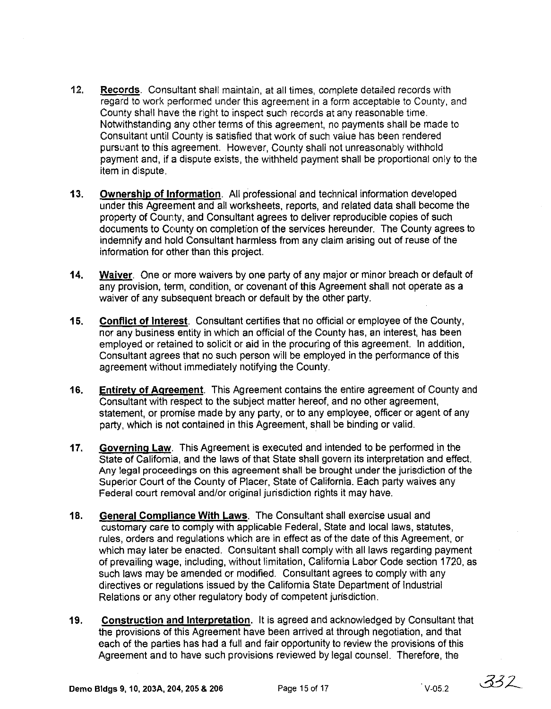- 12. Records. Consultant shall maintain, at all times, complete detailed records with regard to work performed under this agreement in a form acceptable to County, and County shall have the right to inspect such records at any reasonable time. Notwithstanding any other terms of this agreement, no payments shall be made to Consultant until County is satisfied that work of such value has been rendered pursuant to this agreement. However, County shall not unreasonably withhold payment and, if a dispute exists, the withheld payment shall be proportional only to the item in dispute.
- 13. Ownership of Information. All professional and technical information developed under this Agreement and all worksheets, reports, and related data shall become the property of County, and Consultant agrees to deliver reproducible copies of such documents to County on completion of the services hereunder. The County agrees to indemnify and hold Consultant harmless from any claim arising out of reuse of the information for other than this project.
- 14. Waiver. One or more waivers by one party of any major or minor breach or default of any provision, term, condition, or covenant of this Agreement shall not operate as a waiver of any subsequent breach or default by the other party.
- 15. Conflict of Interest. Consultant certifies that no official or employee of the County, nor any business entity in which an official of the County has, an interest, has been employed or retained to solicit or aid in the procuring of this agreement. In addition, Consultant agrees that no such person will be employed in the performance of this agreement without immediately notifying the County.
- 16. Entiretv of Agreement. This Agreement contains the entire agreement of County and Consultant with respect to the subject matter hereof, and no other agreement, statement, or promise made by any party, or to any employee, officer or agent of any party, which is not contained in this Agreement, shall be binding or valid.
- 17. Governing Law. This Agreement is executed and intended to be performed in the State of California, and the laws of that State shall govern its interpretation and effect. Any legal proceedings on this agreement shall be brought under the jurisdiction of the Superior Court of the County of Placer, State of California. Each party waives any Federal court removal and/or original jurisdiction rights it may have.
- 18. General Compliance With Laws. The Consultant shall exercise usual and customary care to comply with applicable Federal, State and local laws, statutes, rules, orders and regulations which are in effect as of the date of this Agreement, or which may later be enacted. Consultant shall comply with all laws regarding payment of prevailing wage, including, without limitation, California Labor Code section 1720, as such laws may be amended or modified. Consultant agrees to comply with any directives or regulations issued by the California State Department of Industrial Relations or any other regulatory body of competent jurisdiction.
- 19. Construction and Interpretation. It is agreed and acknowledged by Consultant that the provisions of this Agreement have been arrived at through negotiation, and that each of the parties has had a full and fair opportunity to review the provisions of this Agreement and to have such provisions reviewed by legal counsel. Therefore, the

 $332$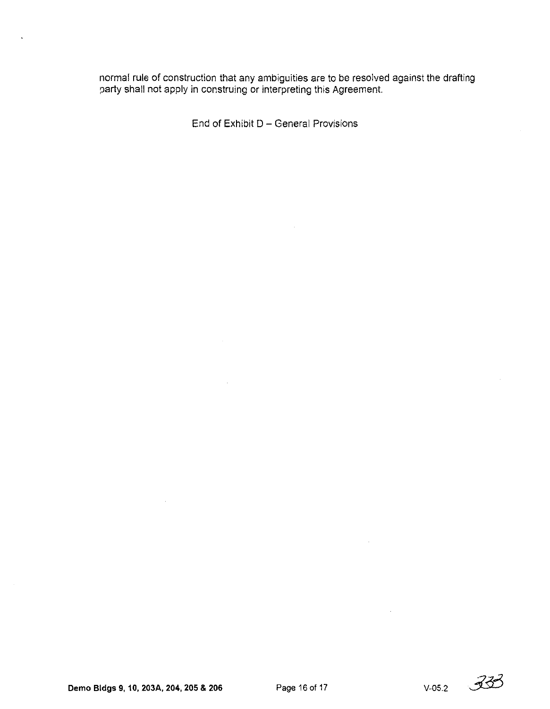normal rule of construction that any ambiguities are to be resolved against the drafting party shall not apply in construing or interpreting this Agreement.

End of Exhibit D - General Provisions